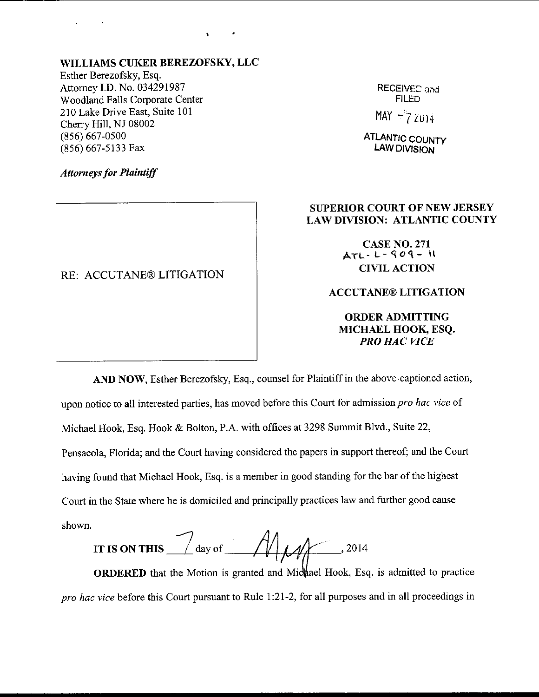# WILLIAMS CUKER BEREZOFSKY, LLC

 $\epsilon$ 

Esther Berezofsky, Esq. Attomey I.D. No. 034291987 Woodland Falls Corporate Center 210 Lake Drive East, Suite 101 Cherry Hil1, NJ 08002 (8s6) 667-0500 (856) 667-5133 Fax

RECEIVED and **FILED** 

 $MAY - 7$  2014

ATLANTIC COUNTY LAW DIVISION

### Attorneys for Plaintiff

#### RE: ACCUTANE® LITIGATION

## SUPERIOR COURT OF NEW JERSEY LAWDIVISION: ATLANTIC COUNTY

CASE NO.271 Aru-L-qo1- li **CIVIL ACTION** 

## ACCUTANE@ LITIGATION

ORDERADMTTTING MICHAEL HOOK, ESQ. PRO HAC VICE

AND NOW, Esther Berezofsky, Esq., counsel for Plaintiff in the above-captioned action, upon notice to all interested parties, has moved before this Court for admission *pro hac vice* of Michael Hook, Esq. Hook & Bolton, P.A. with offices at 3298 Summit Blvd., Suite 22, Pensacola, Florida; and the Court having considered the papers in support thereof; and the Court having found that Michael Hook, Esq. is a member in good standing for the bar of the highest Court in the State where he is domiciled and principally practices law and further good cause shown.

IT IS ON THIS  $\frac{1}{\sqrt{2}}$  $\angle$  day of  $\angle$  /  $\angle$  /  $\angle$  /  $\angle$  /  $\angle$  /  $\angle$  2014

**ORDERED** that the Motion is granted and Michael Hook, Esq. is admitted to practice pro hac vice before this Court pursuant to Rule 1:21-2, for all purposes and in all proceedings in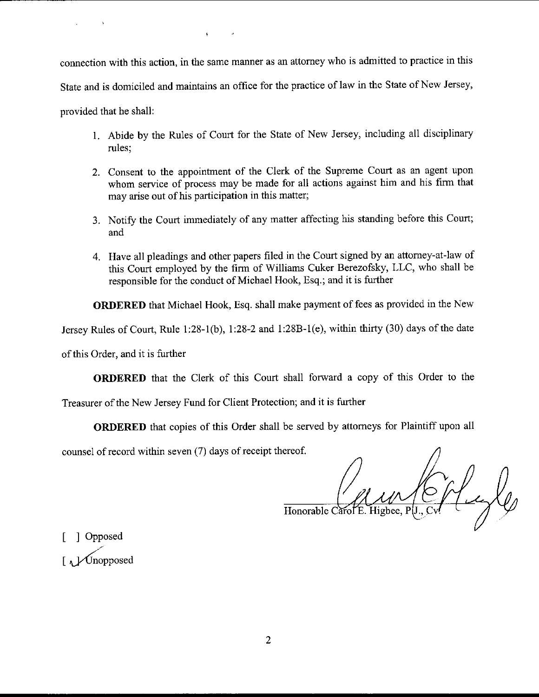connection with this action, in the same manner as an attomey who is admitted to practice in this State and is domiciled and maintains an office for the practice of law in the State of New Jersey, provided that he shall:

 $\mathcal{L}^{\mathcal{A}}$ 

 $\mathbf{t}$ 

- 1 Abide by the Rules of Court for the State of New Jersey, including all disciplinary rules;
- 2. Consent to the appointment of the Clerk of the Supreme Court as an agent upon whom service of process may be made for all actions against him and his firm that may arise out of his participation in this matter;
- 3. Notify the Court immediately of any matter affecting his standing before this Court; and
- 4. Have all pleadings and other papers filed in the Court signed by an attorney-at-law of this Court employed by the firm of Williams Cuker Berezofsky, LLC, who shall be responsible for the conduct of Michael Hook, Esq.; and it is further

ORDERED that Michael Hook, Esq. shall make payment of fees as provided in the New

Jersey Rules of Court, Rule 1:28-1(b), 1:28-2 and 1:28B-1(e), within thirty (30) days of the date

of this Order, and it is further

ORDERED that the Clerk of this Court shall forward a copy of this Order to the

Treasurer of the New Jersey Fund for Client Protection; and it is further

ORDERED that copies of this Order shall be served by attomeys for Plaintiff upon all

counsel of record within seven (7) days of receipt thereof.

Honorable Carol E

| Opposed  $\left[\right._{\Lambda}\right]$  Unopposed